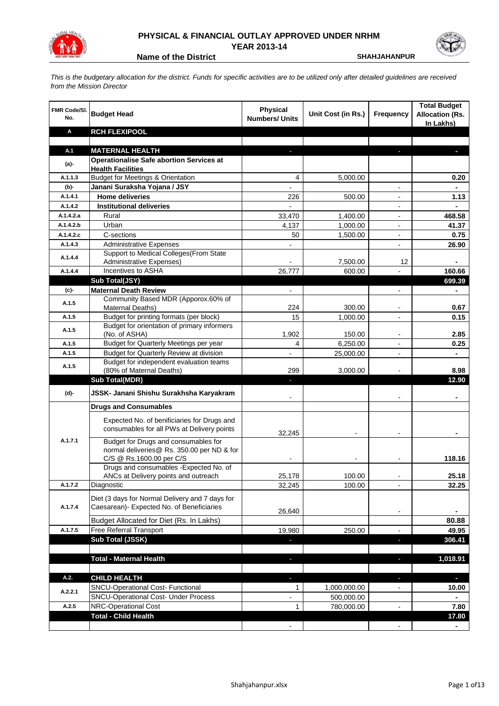

## **PHYSICAL & FINANCIAL OUTLAY APPROVED UNDER NRHM YEAR 2013-14**



**Name of the District <b>SHAHJAHANPUR** 

*This is the budgetary allocation for the district. Funds for specific activities are to be utilized only after detailed guidelines are received from the Mission Director*

| FMR Code/SI.<br>No. | <b>Budget Head</b>                                                                        | <b>Physical</b><br><b>Numbers/ Units</b> | Unit Cost (in Rs.) | <b>Frequency</b>         | <b>Total Budget</b><br><b>Allocation (Rs.</b><br>In Lakhs) |
|---------------------|-------------------------------------------------------------------------------------------|------------------------------------------|--------------------|--------------------------|------------------------------------------------------------|
| Α                   | <b>RCH FLEXIPOOL</b>                                                                      |                                          |                    |                          |                                                            |
|                     |                                                                                           |                                          |                    |                          |                                                            |
| A.1                 | <b>MATERNAL HEALTH</b>                                                                    |                                          |                    |                          |                                                            |
| (a)-                | <b>Operationalise Safe abortion Services at</b><br><b>Health Facilities</b>               |                                          |                    |                          |                                                            |
| A.1.1.3             | <b>Budget for Meetings &amp; Orientation</b>                                              | 4                                        | 5,000.00           |                          | 0.20                                                       |
| $(b)$ -             | Janani Suraksha Yojana / JSY                                                              |                                          |                    |                          |                                                            |
| A.1.4.1             | <b>Home deliveries</b>                                                                    | 226                                      | 500.00             |                          | 1.13                                                       |
| A.1.4.2             | <b>Institutional deliveries</b>                                                           |                                          |                    | $\blacksquare$           | $\blacksquare$                                             |
| A.1.4.2.a           | Rural                                                                                     | 33,470                                   | 1,400.00           | $\blacksquare$           | 468.58                                                     |
| A.1.4.2.b           | Urban                                                                                     | 4,137                                    | 1,000.00           | $\overline{\phantom{a}}$ | 41.37                                                      |
| A.1.4.2.c           | C-sections                                                                                | 50                                       | 1,500.00           |                          | 0.75                                                       |
| A.1.4.3             | <b>Administrative Expenses</b>                                                            |                                          |                    |                          | 26.90                                                      |
|                     | Support to Medical Colleges (From State                                                   |                                          |                    |                          |                                                            |
| A.1.4.4             | <b>Administrative Expenses)</b>                                                           |                                          | 7,500.00           | 12                       |                                                            |
| A.1.4.4             | Incentives to ASHA                                                                        | 26,777                                   | 600.00             |                          | 160.66                                                     |
|                     | Sub Total(JSY)                                                                            |                                          |                    |                          | 699.39                                                     |
| (c)-                | <b>Maternal Death Review</b>                                                              |                                          |                    |                          |                                                            |
| A.1.5               | Community Based MDR (Apporox.60% of                                                       |                                          |                    |                          |                                                            |
|                     | Maternal Deaths)                                                                          | 224                                      | 300.00             |                          | 0.67                                                       |
| A.1.5               | Budget for printing formats (per block)                                                   | 15                                       | 1,000.00           | $\blacksquare$           | 0.15                                                       |
| A.1.5               | Budget for orientation of primary informers<br>(No. of ASHA)                              | 1,902                                    | 150.00             | $\blacksquare$           | 2.85                                                       |
| A.1.5               | <b>Budget for Quarterly Meetings per year</b>                                             | $\overline{4}$                           | 6,250.00           | $\overline{a}$           | 0.25                                                       |
| A.1.5               | Budget for Quarterly Review at division                                                   |                                          | 25,000.00          |                          |                                                            |
|                     | Budget for independent evaluation teams                                                   |                                          |                    |                          |                                                            |
| A.1.5               | (80% of Maternal Deaths)                                                                  | 299                                      | 3,000.00           |                          | 8.98                                                       |
|                     | <b>Sub Total(MDR)</b>                                                                     |                                          |                    |                          | 12.90                                                      |
| (d)-                | JSSK- Janani Shishu Surakhsha Karyakram                                                   |                                          |                    |                          | ۰                                                          |
|                     | <b>Drugs and Consumables</b>                                                              |                                          |                    |                          |                                                            |
|                     | Expected No. of benificiaries for Drugs and<br>consumables for all PWs at Delivery points | 32,245                                   |                    |                          |                                                            |
| A.1.7.1             | Budget for Drugs and consumables for<br>normal deliveries@ Rs. 350.00 per ND & for        |                                          |                    |                          |                                                            |
|                     | C/S @ Rs.1600.00 per C/S                                                                  |                                          |                    |                          | 118.16                                                     |
|                     | Drugs and consumables - Expected No. of                                                   |                                          |                    |                          |                                                            |
|                     | ANCs at Delivery points and outreach                                                      | 25,178                                   | 100.00             |                          | 25.18                                                      |
| A.1.7.2             | Diagnostic                                                                                | 32,245                                   | 100.00             |                          | 32.25                                                      |
|                     | Diet (3 days for Normal Delivery and 7 days for                                           |                                          |                    |                          |                                                            |
| A.1.7.4             | Caesarean)- Expected No. of Beneficiaries                                                 |                                          |                    |                          |                                                            |
|                     |                                                                                           | 26,640                                   |                    |                          |                                                            |
|                     | Budget Allocated for Diet (Rs. In Lakhs)                                                  |                                          |                    |                          | 80.88                                                      |
| A.1.7.5             | Free Referral Transport                                                                   | 19,980                                   | 250.00             |                          | 49.95                                                      |
|                     | Sub Total (JSSK)                                                                          |                                          |                    | a,                       | 306.41                                                     |
|                     |                                                                                           |                                          |                    |                          |                                                            |
|                     | <b>Total - Maternal Health</b>                                                            |                                          |                    | н                        | 1,018.91                                                   |
| A.2.                | <b>CHILD HEALTH</b>                                                                       | ٠                                        |                    | $\overline{\phantom{a}}$ | P.                                                         |
|                     | SNCU-Operational Cost- Functional                                                         | $\mathbf{1}$                             | 1,000,000.00       | $\blacksquare$           | 10.00                                                      |
| A.2.2.1             | SNCU-Operational Cost- Under Process                                                      | -                                        | 500,000.00         |                          | ۰                                                          |
| A.2.5               | NRC-Operational Cost                                                                      | $\mathbf{1}$                             | 780,000.00         | $\frac{1}{2}$            | 7.80                                                       |
|                     | <b>Total - Child Health</b>                                                               |                                          |                    |                          | 17.80                                                      |
|                     |                                                                                           |                                          |                    |                          |                                                            |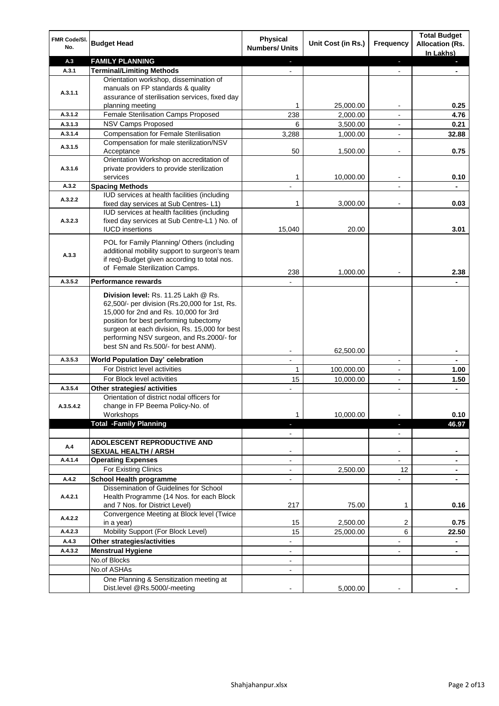| FMR Code/SI.<br>No. | <b>Budget Head</b>                                                                                                                                                                                                                                                                                            | <b>Physical</b><br><b>Numbers/ Units</b> | Unit Cost (in Rs.) | <b>Frequency</b> | <b>Total Budget</b><br><b>Allocation (Rs.</b><br>In Lakhs) |
|---------------------|---------------------------------------------------------------------------------------------------------------------------------------------------------------------------------------------------------------------------------------------------------------------------------------------------------------|------------------------------------------|--------------------|------------------|------------------------------------------------------------|
| A.3                 | <b>FAMILY PLANNING</b>                                                                                                                                                                                                                                                                                        | ٠                                        |                    | e.               | J.                                                         |
| A.3.1               | <b>Terminal/Limiting Methods</b>                                                                                                                                                                                                                                                                              |                                          |                    |                  |                                                            |
| A.3.1.1             | Orientation workshop, dissemination of<br>manuals on FP standards & quality<br>assurance of sterilisation services, fixed day<br>planning meeting                                                                                                                                                             | 1                                        | 25,000.00          |                  | 0.25                                                       |
| A.3.1.2             | Female Sterilisation Camps Proposed                                                                                                                                                                                                                                                                           | 238                                      | 2,000.00           |                  | 4.76                                                       |
| A.3.1.3             | NSV Camps Proposed                                                                                                                                                                                                                                                                                            | 6                                        | 3,500.00           | $\blacksquare$   | 0.21                                                       |
| A.3.1.4             | <b>Compensation for Female Sterilisation</b>                                                                                                                                                                                                                                                                  | 3,288                                    | 1,000.00           |                  | 32.88                                                      |
| A.3.1.5             | Compensation for male sterilization/NSV                                                                                                                                                                                                                                                                       |                                          |                    |                  |                                                            |
|                     | Acceptance<br>Orientation Workshop on accreditation of                                                                                                                                                                                                                                                        | 50                                       | 1,500.00           |                  | 0.75                                                       |
| A.3.1.6             | private providers to provide sterilization<br>services                                                                                                                                                                                                                                                        | 1                                        | 10,000.00          | $\blacksquare$   | 0.10                                                       |
| A.3.2               | <b>Spacing Methods</b>                                                                                                                                                                                                                                                                                        |                                          |                    |                  |                                                            |
| A.3.2.2             | IUD services at health facilities (including<br>fixed day services at Sub Centres-L1)                                                                                                                                                                                                                         | 1                                        | 3,000.00           |                  | 0.03                                                       |
| A.3.2.3             | IUD services at health facilities (including<br>fixed day services at Sub Centre-L1 ) No. of<br><b>IUCD</b> insertions                                                                                                                                                                                        | 15,040                                   | 20.00              |                  | 3.01                                                       |
| A.3.3               | POL for Family Planning/ Others (including<br>additional mobility support to surgeon's team<br>if req)-Budget given according to total nos.<br>of Female Sterilization Camps.                                                                                                                                 | 238                                      | 1,000.00           |                  | 2.38                                                       |
| A.3.5.2             | <b>Performance rewards</b>                                                                                                                                                                                                                                                                                    |                                          |                    |                  |                                                            |
|                     | Division level: Rs. 11.25 Lakh @ Rs.<br>62,500/- per division (Rs.20,000 for 1st, Rs.<br>15,000 for 2nd and Rs. 10,000 for 3rd<br>position for best performing tubectomy<br>surgeon at each division, Rs. 15,000 for best<br>performing NSV surgeon, and Rs.2000/- for<br>best SN and Rs.500/- for best ANM). |                                          |                    |                  |                                                            |
| A.3.5.3             | World Population Day' celebration                                                                                                                                                                                                                                                                             |                                          | 62,500.00          |                  |                                                            |
|                     | For District level activities                                                                                                                                                                                                                                                                                 | $\mathbf{1}$                             | 100,000.00         | $\mathbf{r}$     | 1.00                                                       |
|                     | For Block level activities                                                                                                                                                                                                                                                                                    | 15                                       | 10,000.00          | $\blacksquare$   | 1.50                                                       |
| A.3.5.4             | Other strategies/ activities                                                                                                                                                                                                                                                                                  |                                          |                    | ÷                | $\blacksquare$                                             |
| A.3.5.4.2           | Orientation of district nodal officers for<br>change in FP Beema Policy-No. of<br>Workshops                                                                                                                                                                                                                   | 1                                        | 10,000.00          |                  | 0.10                                                       |
|                     | <b>Total -Family Planning</b>                                                                                                                                                                                                                                                                                 | a,                                       |                    | ٠                | 46.97                                                      |
|                     |                                                                                                                                                                                                                                                                                                               | $\blacksquare$                           |                    | $\blacksquare$   |                                                            |
| A.4                 | <b>ADOLESCENT REPRODUCTIVE AND</b><br><b>SEXUAL HEALTH / ARSH</b>                                                                                                                                                                                                                                             |                                          |                    | -                |                                                            |
| A.4.1.4             | <b>Operating Expenses</b>                                                                                                                                                                                                                                                                                     | $\overline{\phantom{a}}$                 |                    |                  |                                                            |
|                     | For Existing Clinics                                                                                                                                                                                                                                                                                          | $\blacksquare$                           | 2,500.00           | 12               | ۰.                                                         |
| A.4.2               | <b>School Health programme</b>                                                                                                                                                                                                                                                                                | $\blacksquare$                           |                    | -                |                                                            |
| A.4.2.1             | Dissemination of Guidelines for School<br>Health Programme (14 Nos. for each Block<br>and 7 Nos. for District Level)                                                                                                                                                                                          | 217                                      | 75.00              | 1                | 0.16                                                       |
| A.4.2.2             | Convergence Meeting at Block level (Twice<br>in a year)                                                                                                                                                                                                                                                       | 15                                       | 2,500.00           | 2                | 0.75                                                       |
| A.4.2.3             | Mobility Support (For Block Level)                                                                                                                                                                                                                                                                            | 15                                       | 25,000.00          | 6                | 22.50                                                      |
| A.4.3               | Other strategies/activities                                                                                                                                                                                                                                                                                   |                                          |                    |                  | ۰                                                          |
| A.4.3.2             | <b>Menstrual Hygiene</b>                                                                                                                                                                                                                                                                                      |                                          |                    |                  |                                                            |
|                     | No.of Blocks                                                                                                                                                                                                                                                                                                  | $\blacksquare$                           |                    |                  |                                                            |
|                     | No.of ASHAs                                                                                                                                                                                                                                                                                                   |                                          |                    |                  |                                                            |
|                     | One Planning & Sensitization meeting at<br>Dist.level @Rs.5000/-meeting                                                                                                                                                                                                                                       |                                          | 5,000.00           |                  |                                                            |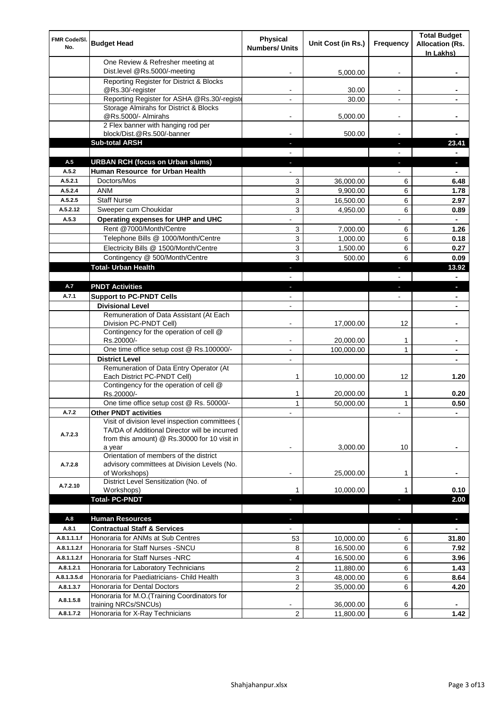| FMR Code/SI.<br>No.      | <b>Budget Head</b>                                                                            | <b>Physical</b><br><b>Numbers/ Units</b> | Unit Cost (in Rs.)     | <b>Frequency</b> | <b>Total Budget</b><br><b>Allocation (Rs.</b><br>In Lakhs) |
|--------------------------|-----------------------------------------------------------------------------------------------|------------------------------------------|------------------------|------------------|------------------------------------------------------------|
|                          | One Review & Refresher meeting at<br>Dist.level @Rs.5000/-meeting                             |                                          | 5,000.00               |                  |                                                            |
|                          | Reporting Register for District & Blocks                                                      |                                          |                        |                  |                                                            |
|                          | @Rs.30/-register<br>Reporting Register for ASHA @Rs.30/-registe                               |                                          | 30.00<br>30.00         |                  |                                                            |
|                          | Storage Almirahs for District & Blocks                                                        |                                          |                        |                  |                                                            |
|                          | @Rs.5000/- Almirahs                                                                           | -                                        | 5,000.00               | $\blacksquare$   |                                                            |
|                          | 2 Flex banner with hanging rod per                                                            |                                          |                        |                  |                                                            |
|                          | block/Dist.@Rs.500/-banner<br><b>Sub-total ARSH</b>                                           |                                          | 500.00                 | L.               | 23.41                                                      |
|                          |                                                                                               |                                          |                        |                  |                                                            |
| A.5                      | <b>URBAN RCH (focus on Urban slums)</b>                                                       | ٠                                        |                        | п                | J,                                                         |
| A.5.2                    | Human Resource for Urban Health                                                               |                                          |                        |                  | $\blacksquare$                                             |
| A.5.2.1                  | Doctors/Mos                                                                                   | 3                                        | 36,000.00              | 6                | 6.48                                                       |
| A.5.2.4                  | <b>ANM</b>                                                                                    | 3                                        | 9,900.00               | 6                | 1.78                                                       |
| A.5.2.5                  | <b>Staff Nurse</b>                                                                            | 3                                        | 16,500.00              | 6                | 2.97                                                       |
| A.5.2.12                 | Sweeper cum Choukidar                                                                         | 3                                        | 4,950.00               | 6                | 0.89                                                       |
| A.5.3                    | Operating expenses for UHP and UHC<br>Rent @7000/Month/Centre                                 |                                          |                        |                  |                                                            |
|                          | Telephone Bills @ 1000/Month/Centre                                                           | 3<br>3                                   | 7,000.00<br>1,000.00   | 6<br>6           | 1.26<br>0.18                                               |
|                          | Electricity Bills @ 1500/Month/Centre                                                         | 3                                        | 1,500.00               | 6                | 0.27                                                       |
|                          | Contingency @ 500/Month/Centre                                                                | 3                                        | 500.00                 | 6                | 0.09                                                       |
|                          | <b>Total- Urban Health</b>                                                                    | ٠                                        |                        | a.               | 13.92                                                      |
|                          |                                                                                               |                                          |                        |                  |                                                            |
| A.7                      | <b>PNDT Activities</b>                                                                        | J,                                       |                        | J,               | J,                                                         |
| A.7.1                    | <b>Support to PC-PNDT Cells</b>                                                               |                                          |                        |                  |                                                            |
|                          | <b>Divisional Level</b>                                                                       |                                          |                        |                  |                                                            |
|                          | Remuneration of Data Assistant (At Each<br>Division PC-PNDT Cell)                             | ۰                                        | 17,000.00              | 12               |                                                            |
|                          | Contingency for the operation of cell @<br>Rs.20000/-                                         |                                          | 20,000.00              | 1                |                                                            |
|                          | One time office setup cost @ Rs.100000/-                                                      |                                          | 100,000.00             | $\mathbf{1}$     |                                                            |
|                          | <b>District Level</b>                                                                         |                                          |                        |                  |                                                            |
|                          | Remuneration of Data Entry Operator (At<br>Each District PC-PNDT Cell)                        | 1                                        | 10,000.00              | 12               | 1.20                                                       |
|                          | Contingency for the operation of cell @<br>Rs.20000/-                                         | 1                                        | 20,000.00              | 1                | 0.20                                                       |
|                          | One time office setup cost @ Rs. 50000/-                                                      | $\mathbf{1}$                             | 50.000.00              | $\mathbf{1}$     | 0.50                                                       |
| A.7.2                    | <b>Other PNDT activities</b><br>Visit of division level inspection committees (               |                                          |                        |                  |                                                            |
| A.7.2.3                  | TA/DA of Additional Director will be incurred<br>from this amount) @ Rs.30000 for 10 visit in |                                          |                        |                  |                                                            |
|                          | a year<br>Orientation of members of the district                                              |                                          | 3,000.00               | 10               |                                                            |
| A.7.2.8                  | advisory committees at Division Levels (No.<br>of Workshops)                                  | $\overline{a}$                           | 25,000.00              | 1                |                                                            |
| A.7.2.10                 | District Level Sensitization (No. of<br>Workshops)                                            | 1                                        | 10,000.00              | 1                | 0.10                                                       |
|                          | <b>Total-PC-PNDT</b>                                                                          |                                          |                        |                  | 2.00                                                       |
|                          |                                                                                               |                                          |                        |                  |                                                            |
| A.8                      | <b>Human Resources</b>                                                                        | ٠                                        |                        | ٠                | ٠                                                          |
| A.8.1                    | <b>Contractual Staff &amp; Services</b>                                                       |                                          |                        |                  | $\blacksquare$                                             |
| A.8.1.1.1.f              | Honoraria for ANMs at Sub Centres                                                             | 53                                       | 10,000.00              | 6                | 31.80                                                      |
| A.8.1.1.2.f              | Honoraria for Staff Nurses - SNCU                                                             | 8                                        | 16,500.00              | 6                | 7.92                                                       |
| A.8.1.1.2.f              | Honoraria for Staff Nurses -NRC                                                               | 4                                        | 16,500.00              | 6                | 3.96                                                       |
| A.8.1.2.1<br>A.8.1.3.5.d | Honoraria for Laboratory Technicians<br>Honoraria for Paediatricians- Child Health            | 2<br>3                                   | 11,880.00              | 6                | 1.43                                                       |
| A.8.1.3.7                | Honoraria for Dental Doctors                                                                  | $\overline{2}$                           | 48,000.00<br>35,000.00 | 6<br>6           | 8.64<br>4.20                                               |
| A.8.1.5.8                | Honoraria for M.O.(Training Coordinators for                                                  |                                          | 36,000.00              |                  |                                                            |
| A.8.1.7.2                | training NRCs/SNCUs)<br>Honoraria for X-Ray Technicians                                       | 2                                        | 11,800.00              | 6<br>6           | 1.42                                                       |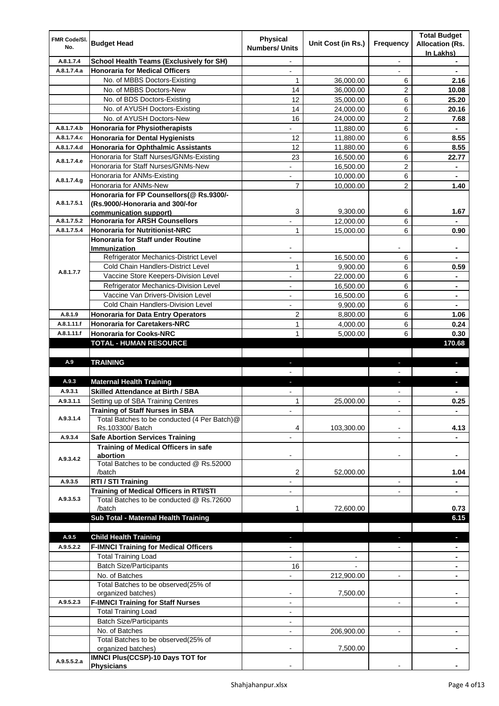| FMR Code/SI.<br>No.        | <b>Budget Head</b>                                                                   | <b>Physical</b><br><b>Numbers/ Units</b> | Unit Cost (in Rs.)     | Frequency                | <b>Total Budget</b><br><b>Allocation (Rs.</b><br>In Lakhs) |
|----------------------------|--------------------------------------------------------------------------------------|------------------------------------------|------------------------|--------------------------|------------------------------------------------------------|
| A.8.1.7.4                  | School Health Teams (Exclusively for SH)                                             |                                          |                        | $\overline{\phantom{a}}$ |                                                            |
| A.8.1.7.4.a                | <b>Honoraria for Medical Officers</b>                                                | $\overline{\phantom{a}}$                 |                        |                          | $\qquad \qquad \blacksquare$                               |
|                            | No. of MBBS Doctors-Existing                                                         | 1                                        | 36,000.00              | 6                        | 2.16                                                       |
|                            | No. of MBBS Doctors-New                                                              | 14                                       | 36,000.00              | $\overline{c}$           | 10.08                                                      |
|                            | No. of BDS Doctors-Existing                                                          | 12                                       | 35,000.00              | 6                        | 25.20                                                      |
|                            | No. of AYUSH Doctors-Existing                                                        | 14                                       | 24,000.00              | 6                        | 20.16                                                      |
|                            | No. of AYUSH Doctors-New                                                             | 16                                       | 24,000.00              | $\overline{c}$           | 7.68                                                       |
| A.8.1.7.4.b<br>A.8.1.7.4.c | <b>Honoraria for Physiotherapists</b>                                                | 12                                       | 11,880.00              | 6<br>6                   |                                                            |
| A.8.1.7.4.d                | <b>Honoraria for Dental Hygienists</b><br><b>Honoraria for Ophthalmic Assistants</b> | 12                                       | 11,880.00<br>11,880.00 | 6                        | 8.55<br>8.55                                               |
|                            | Honoraria for Staff Nurses/GNMs-Existing                                             | 23                                       | 16,500.00              | 6                        | 22.77                                                      |
| A.8.1.7.4.e                | Honoraria for Staff Nurses/GNMs-New                                                  | ÷,                                       | 16,500.00              | $\overline{c}$           | ۰                                                          |
|                            | Honoraria for ANMs-Existing                                                          | $\overline{\phantom{0}}$                 | 10,000.00              | 6                        | $\blacksquare$                                             |
| A.8.1.7.4.g                | Honoraria for ANMs-New                                                               | $\overline{7}$                           | 10,000.00              | $\overline{c}$           | 1.40                                                       |
|                            | Honoraria for FP Counsellors(@ Rs.9300/-                                             |                                          |                        |                          |                                                            |
| A.8.1.7.5.1                | (Rs.9000/-Honoraria and 300/-for                                                     |                                          |                        |                          |                                                            |
|                            | communication support)                                                               | 3                                        | 9.300.00               | 6                        | 1.67                                                       |
| A.8.1.7.5.2                | <b>Honoraria for ARSH Counsellors</b>                                                |                                          | 12,000.00              | 6                        |                                                            |
| A.8.1.7.5.4                | <b>Honoraria for Nutritionist-NRC</b>                                                | $\mathbf{1}$                             | 15,000.00              | 6                        | 0.90                                                       |
|                            | <b>Honoraria for Staff under Routine</b>                                             |                                          |                        |                          | $\blacksquare$                                             |
|                            | Immunization<br>Refrigerator Mechanics-District Level                                | $\blacksquare$                           | 16,500.00              | 6                        | $\overline{\phantom{a}}$                                   |
|                            | Cold Chain Handlers-District Level                                                   | 1                                        | 9,900.00               | 6                        | 0.59                                                       |
| A.8.1.7.7                  | Vaccine Store Keepers-Division Level                                                 | -                                        | 22,000.00              | 6                        |                                                            |
|                            | Refrigerator Mechanics-Division Level                                                | ÷,                                       | 16,500.00              | 6                        |                                                            |
|                            | Vaccine Van Drivers-Division Level                                                   | $\blacksquare$                           | 16,500.00              | 6                        | $\blacksquare$                                             |
|                            | Cold Chain Handlers-Division Level                                                   | $\blacksquare$                           | 9,900.00               | 6                        | $\blacksquare$                                             |
| A.8.1.9                    | <b>Honoraria for Data Entry Operators</b>                                            | $\overline{c}$                           | 8,800.00               | 6                        | 1.06                                                       |
| A.8.1.11.f                 | <b>Honoraria for Caretakers-NRC</b>                                                  | $\mathbf{1}$                             | 4,000.00               | 6                        | 0.24                                                       |
| A.8.1.11.f                 | <b>Honoraria for Cooks-NRC</b>                                                       | $\mathbf{1}$                             | 5,000.00               | 6                        | 0.30                                                       |
|                            | <b>TOTAL - HUMAN RESOURCE</b>                                                        |                                          |                        |                          | 170.68                                                     |
|                            |                                                                                      |                                          |                        |                          |                                                            |
| A.9                        | <b>TRAINING</b>                                                                      | a,                                       |                        | $\blacksquare$           | J,                                                         |
|                            |                                                                                      |                                          |                        |                          |                                                            |
| A.9.3                      | <b>Maternal Health Training</b>                                                      | ь                                        |                        |                          | н                                                          |
| A.9.3.1                    | <b>Skilled Attendance at Birth / SBA</b>                                             |                                          |                        |                          |                                                            |
| A.9.3.1.1                  | Setting up of SBA Training Centres                                                   | 1                                        | 25,000.00              |                          | 0.25                                                       |
| A.9.3.1.4                  | <b>Training of Staff Nurses in SBA</b>                                               | ۰                                        |                        | $\overline{\phantom{a}}$ | $\blacksquare$                                             |
|                            | Total Batches to be conducted (4 Per Batch)@<br>Rs.103300/ Batch                     | 4                                        | 103,300.00             | $\blacksquare$           | 4.13                                                       |
| A.9.3.4                    | <b>Safe Abortion Services Training</b>                                               |                                          |                        | $\blacksquare$           |                                                            |
|                            | Training of Medical Officers in safe                                                 |                                          |                        |                          |                                                            |
|                            | abortion                                                                             |                                          |                        |                          |                                                            |
| A.9.3.4.2                  | Total Batches to be conducted @ Rs.52000                                             |                                          |                        |                          |                                                            |
|                            | /batch                                                                               | 2                                        | 52,000.00              |                          | 1.04                                                       |
| A.9.3.5                    | RTI / STI Training                                                                   |                                          |                        | $\blacksquare$           |                                                            |
| A.9.3.5.3                  | <b>Training of Medical Officers in RTI/STI</b>                                       |                                          |                        |                          |                                                            |
|                            | Total Batches to be conducted @ Rs.72600<br>/batch                                   | 1                                        | 72,600.00              |                          | 0.73                                                       |
|                            | Sub Total - Maternal Health Training                                                 |                                          |                        |                          | 6.15                                                       |
|                            |                                                                                      |                                          |                        |                          |                                                            |
| A.9.5                      | <b>Child Health Training</b>                                                         |                                          |                        |                          |                                                            |
| A.9.5.2.2                  | <b>F-IMNCI Training for Medical Officers</b>                                         |                                          |                        |                          |                                                            |
|                            | <b>Total Training Load</b>                                                           |                                          |                        |                          |                                                            |
|                            | <b>Batch Size/Participants</b>                                                       | 16                                       |                        |                          |                                                            |
|                            | No. of Batches                                                                       |                                          | 212,900.00             |                          |                                                            |
|                            | Total Batches to be observed(25% of                                                  |                                          |                        |                          |                                                            |
|                            | organized batches)                                                                   |                                          | 7,500.00               |                          |                                                            |
| A.9.5.2.3                  | <b>F-IMNCI Training for Staff Nurses</b>                                             |                                          |                        |                          |                                                            |
|                            | <b>Total Training Load</b>                                                           |                                          |                        |                          |                                                            |
|                            | <b>Batch Size/Participants</b>                                                       |                                          |                        |                          |                                                            |
|                            | No. of Batches                                                                       |                                          | 206,900.00             |                          |                                                            |
|                            | Total Batches to be observed(25% of<br>organized batches)                            |                                          | 7,500.00               |                          |                                                            |
|                            | <b>IMNCI Plus(CCSP)-10 Days TOT for</b>                                              |                                          |                        |                          |                                                            |
| A.9.5.5.2.a                | <b>Physicians</b>                                                                    |                                          |                        |                          |                                                            |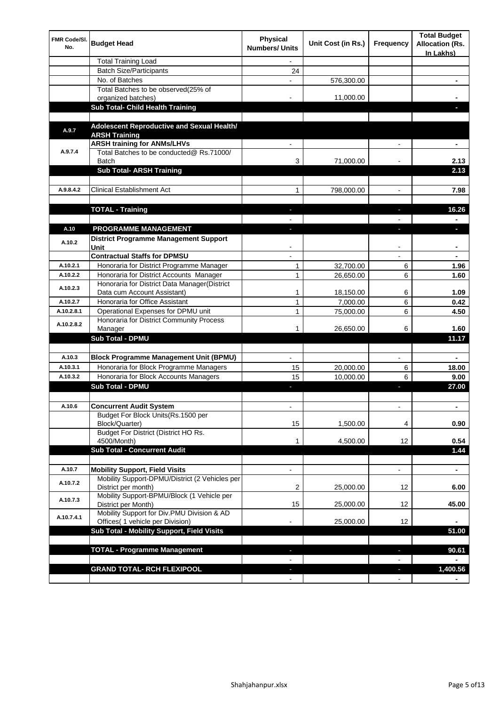| FMR Code/SI.<br>No. | <b>Budget Head</b>                                                          | <b>Physical</b><br><b>Numbers/ Units</b> | Unit Cost (in Rs.) | Frequency                                  | <b>Total Budget</b><br><b>Allocation (Rs.</b><br>In Lakhs) |
|---------------------|-----------------------------------------------------------------------------|------------------------------------------|--------------------|--------------------------------------------|------------------------------------------------------------|
|                     | <b>Total Training Load</b>                                                  |                                          |                    |                                            |                                                            |
|                     | <b>Batch Size/Participants</b>                                              | 24                                       |                    |                                            |                                                            |
|                     | No. of Batches                                                              |                                          | 576,300.00         |                                            |                                                            |
|                     | Total Batches to be observed(25% of                                         |                                          |                    |                                            |                                                            |
|                     | organized batches)                                                          |                                          | 11,000.00          |                                            |                                                            |
|                     | <b>Sub Total- Child Health Training</b>                                     |                                          |                    |                                            |                                                            |
| A.9.7               | Adolescent Reproductive and Sexual Health/<br><b>ARSH Training</b>          |                                          |                    |                                            |                                                            |
|                     | <b>ARSH training for ANMs/LHVs</b>                                          |                                          |                    |                                            | ٠                                                          |
| A.9.7.4             | Total Batches to be conducted@ Rs.71000/                                    |                                          |                    |                                            |                                                            |
|                     | <b>Batch</b>                                                                | 3                                        | 71,000.00          |                                            | 2.13                                                       |
|                     | <b>Sub Total- ARSH Training</b>                                             |                                          |                    |                                            | 2.13                                                       |
|                     |                                                                             |                                          |                    |                                            |                                                            |
| A.9.8.4.2           | <b>Clinical Establishment Act</b>                                           | 1                                        | 798,000.00         |                                            | 7.98                                                       |
|                     |                                                                             |                                          |                    |                                            |                                                            |
|                     | <b>TOTAL - Training</b>                                                     |                                          |                    |                                            | 16.26                                                      |
|                     |                                                                             |                                          |                    |                                            |                                                            |
| A.10                | PROGRAMME MANAGEMENT                                                        |                                          |                    | r.                                         |                                                            |
| A.10.2              | <b>District Programme Management Support</b><br>Unit                        |                                          |                    | $\overline{\phantom{0}}$                   | ۰                                                          |
|                     | <b>Contractual Staffs for DPMSU</b>                                         |                                          |                    |                                            |                                                            |
| A.10.2.1            | Honoraria for District Programme Manager                                    | 1                                        | 32,700.00          | 6                                          | 1.96                                                       |
| A.10.2.2            | Honoraria for District Accounts Manager                                     | 1                                        | 26,650.00          | 6                                          | 1.60                                                       |
| A.10.2.3            | Honoraria for District Data Manager(District<br>Data cum Account Assistant) | 1                                        | 18,150.00          | 6                                          | 1.09                                                       |
| A.10.2.7            | Honoraria for Office Assistant                                              | 1                                        | 7,000.00           | 6                                          | 0.42                                                       |
| A.10.2.8.1          | Operational Expenses for DPMU unit                                          | 1                                        | 75,000.00          | 6                                          | 4.50                                                       |
|                     | Honoraria for District Community Process                                    |                                          |                    |                                            |                                                            |
| A.10.2.8.2          | Manager                                                                     | 1                                        | 26,650.00          | 6                                          | 1.60                                                       |
|                     | Sub Total - DPMU                                                            |                                          |                    |                                            | 11.17                                                      |
|                     |                                                                             |                                          |                    |                                            |                                                            |
| A.10.3              | <b>Block Programme Management Unit (BPMU)</b>                               | $\blacksquare$                           |                    | $\blacksquare$                             |                                                            |
| A.10.3.1            | Honoraria for Block Programme Managers                                      | 15                                       | 20,000.00          | 6                                          | 18.00                                                      |
| A.10.3.2            | Honoraria for Block Accounts Managers                                       | 15                                       | 10,000.00          | 6                                          | 9.00                                                       |
|                     | Sub Total - DPMU                                                            |                                          |                    | L                                          | 27.00                                                      |
| A.10.6              | Concurrent Audit System                                                     |                                          |                    | $\overline{\phantom{0}}$                   | ٠                                                          |
|                     | Budget For Block Units(Rs.1500 per<br>Block/Quarter)                        | 15                                       | 1,500.00           | 4                                          | 0.90                                                       |
|                     | Budget For District (District HO Rs.<br>4500/Month)                         | 1                                        | 4,500.00           | 12                                         | 0.54                                                       |
|                     | <b>Sub Total - Concurrent Audit</b>                                         |                                          |                    |                                            | 1.44                                                       |
|                     |                                                                             |                                          |                    |                                            |                                                            |
| A.10.7              | <b>Mobility Support, Field Visits</b>                                       |                                          |                    | $\overline{a}$                             | $\overline{\phantom{0}}$                                   |
|                     | Mobility Support-DPMU/District (2 Vehicles per                              |                                          |                    |                                            |                                                            |
| A.10.7.2            | District per month)<br>Mobility Support-BPMU/Block (1 Vehicle per           | 2                                        | 25,000.00          | 12                                         | 6.00                                                       |
| A.10.7.3            | District per Month)<br>Mobility Support for Div.PMU Division & AD           | 15                                       | 25,000.00          | 12                                         | 45.00                                                      |
| A.10.7.4.1          | Offices( 1 vehicle per Division)                                            |                                          | 25,000.00          | 12                                         |                                                            |
|                     | Sub Total - Mobility Support, Field Visits                                  |                                          |                    |                                            | 51.00                                                      |
|                     |                                                                             |                                          |                    |                                            |                                                            |
|                     | <b>TOTAL - Programme Management</b>                                         |                                          |                    | ь<br>$\blacksquare$                        | 90.61                                                      |
|                     | <b>GRAND TOTAL- RCH FLEXIPOOL</b>                                           |                                          |                    |                                            | 1,400.56                                                   |
|                     |                                                                             | $\sim$<br>$\blacksquare$                 |                    | $\overline{\phantom{a}}$<br>$\blacksquare$ |                                                            |
|                     |                                                                             |                                          |                    |                                            |                                                            |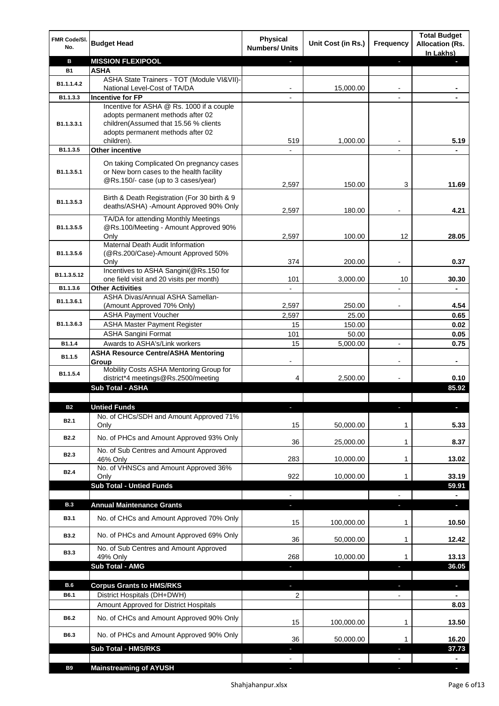| <b>FMR Code/SI.</b><br>No. | <b>Budget Head</b>                                                                                                                                                         | <b>Physical</b><br><b>Numbers/ Units</b> | Unit Cost (in Rs.) | Frequency                | <b>Total Budget</b><br><b>Allocation (Rs.</b> |
|----------------------------|----------------------------------------------------------------------------------------------------------------------------------------------------------------------------|------------------------------------------|--------------------|--------------------------|-----------------------------------------------|
| в                          | <b>MISSION FLEXIPOOL</b>                                                                                                                                                   |                                          |                    | н                        | In Lakhs)                                     |
| <b>B1</b>                  | ASHA                                                                                                                                                                       |                                          |                    |                          |                                               |
| B1.1.1.4.2                 | ASHA State Trainers - TOT (Module VI&VII)-                                                                                                                                 |                                          |                    |                          |                                               |
|                            | National Level-Cost of TA/DA                                                                                                                                               |                                          | 15,000.00          | ۰                        |                                               |
| B1.1.3.3                   | <b>Incentive for FP</b>                                                                                                                                                    |                                          |                    |                          |                                               |
| B1.1.3.3.1                 | Incentive for ASHA @ Rs. 1000 if a couple<br>adopts permanent methods after 02<br>children(Assumed that 15.56 % clients<br>adopts permanent methods after 02<br>children). | 519                                      | 1,000.00           |                          | 5.19                                          |
| B1.1.3.5                   | <b>Other incentive</b>                                                                                                                                                     |                                          |                    |                          |                                               |
| B <sub>1.1</sub> , 3, 5, 1 | On taking Complicated On pregnancy cases<br>or New born cases to the health facility<br>@Rs.150/- case (up to 3 cases/year)                                                | 2,597                                    | 150.00             | 3                        | 11.69                                         |
| B1.1.3.5.3                 | Birth & Death Registration (For 30 birth & 9<br>deaths/ASHA) - Amount Approved 90% Only                                                                                    | 2,597                                    | 180.00             |                          | 4.21                                          |
| B1.1.3.5.5                 | TA/DA for attending Monthly Meetings<br>@Rs.100/Meeting - Amount Approved 90%                                                                                              |                                          |                    |                          |                                               |
|                            | Only                                                                                                                                                                       | 2,597                                    | 100.00             | 12                       | 28.05                                         |
| B1.1.3.5.6                 | Maternal Death Audit Information<br>(@Rs.200/Case)-Amount Approved 50%                                                                                                     |                                          |                    |                          |                                               |
|                            | Only                                                                                                                                                                       | 374                                      | 200.00             |                          | 0.37                                          |
|                            | Incentives to ASHA Sangini(@Rs.150 for                                                                                                                                     |                                          |                    |                          |                                               |
| B1.1.3.5.12                | one field visit and 20 visits per month)                                                                                                                                   | 101                                      | 3,000.00           | 10                       | 30.30                                         |
| B1.1.3.6                   | <b>Other Activities</b>                                                                                                                                                    |                                          |                    |                          |                                               |
| B1.1.3.6.1                 | ASHA Divas/Annual ASHA Samellan-                                                                                                                                           |                                          |                    |                          |                                               |
|                            | (Amount Approved 70% Only)<br><b>ASHA Payment Voucher</b>                                                                                                                  | 2,597<br>2,597                           | 250.00<br>25.00    |                          | 4.54<br>0.65                                  |
| B1.1.3.6.3                 | <b>ASHA Master Payment Register</b>                                                                                                                                        | 15                                       | 150.00             |                          | 0.02                                          |
|                            | <b>ASHA Sangini Format</b>                                                                                                                                                 | 101                                      | 50.00              |                          | 0.05                                          |
| B1.1.4                     | Awards to ASHA's/Link workers                                                                                                                                              | 15                                       | 5,000.00           | $\overline{\phantom{a}}$ | 0.75                                          |
|                            | <b>ASHA Resource Centre/ASHA Mentoring</b>                                                                                                                                 |                                          |                    |                          |                                               |
| B1.1.5                     | Group                                                                                                                                                                      |                                          |                    |                          |                                               |
| B1.1.5.4                   | Mobility Costs ASHA Mentoring Group for<br>district*4 meetings@Rs.2500/meeting                                                                                             | 4                                        | 2,500.00           |                          | 0.10                                          |
|                            | Sub Total - ASHA                                                                                                                                                           |                                          |                    |                          | 85.92                                         |
|                            | <b>Untied Funds</b>                                                                                                                                                        |                                          |                    |                          |                                               |
| 62<br><b>B2.1</b>          | No. of CHCs/SDH and Amount Approved 71%<br>Only                                                                                                                            | 15                                       | 50,000.00          | 1                        | 5.33                                          |
| <b>B2.2</b>                | No. of PHCs and Amount Approved 93% Only                                                                                                                                   | 36                                       | 25,000.00          | 1                        | 8.37                                          |
| <b>B2.3</b>                | No. of Sub Centres and Amount Approved<br>46% Only                                                                                                                         | 283                                      | 10,000.00          | 1                        | 13.02                                         |
| B <sub>2.4</sub>           | No. of VHNSCs and Amount Approved 36%<br>Only                                                                                                                              | 922                                      | 10,000.00          | 1                        | 33.19                                         |
|                            | <b>Sub Total - Untied Funds</b>                                                                                                                                            |                                          |                    |                          | 59.91                                         |
|                            |                                                                                                                                                                            | $\overline{\phantom{a}}$                 |                    | $\overline{a}$           |                                               |
| <b>B.3</b>                 | <b>Annual Maintenance Grants</b>                                                                                                                                           | ÷.                                       |                    | н                        | $\overline{\phantom{a}}$                      |
| <b>B3.1</b>                | No. of CHCs and Amount Approved 70% Only                                                                                                                                   | 15                                       | 100,000.00         | 1                        | 10.50                                         |
| <b>B3.2</b>                | No. of PHCs and Amount Approved 69% Only                                                                                                                                   | 36                                       | 50,000.00          | 1                        | 12.42                                         |
| <b>B3.3</b>                | No. of Sub Centres and Amount Approved<br>49% Only                                                                                                                         | 268                                      | 10,000.00          | $\mathbf{1}$             | 13.13                                         |
|                            | Sub Total - AMG                                                                                                                                                            | ь                                        |                    | ь                        | 36.05                                         |
|                            |                                                                                                                                                                            |                                          |                    |                          |                                               |
| B.6                        | <b>Corpus Grants to HMS/RKS</b>                                                                                                                                            | ٠                                        |                    | $\overline{\phantom{a}}$ | ٠                                             |
| B6.1                       | District Hospitals (DH+DWH)                                                                                                                                                | 2                                        |                    |                          |                                               |
|                            | Amount Approved for District Hospitals                                                                                                                                     |                                          |                    |                          | 8.03                                          |
| B6.2                       | No. of CHCs and Amount Approved 90% Only                                                                                                                                   | 15                                       | 100,000.00         | $\mathbf{1}$             | 13.50                                         |
| B6.3                       | No. of PHCs and Amount Approved 90% Only                                                                                                                                   | 36                                       | 50,000.00          |                          | 16.20                                         |
|                            | Sub Total - HMS/RKS                                                                                                                                                        |                                          |                    |                          | 37.73                                         |
|                            |                                                                                                                                                                            |                                          |                    |                          | ٠                                             |
| <b>B9</b>                  | <b>Mainstreaming of AYUSH</b>                                                                                                                                              |                                          |                    |                          |                                               |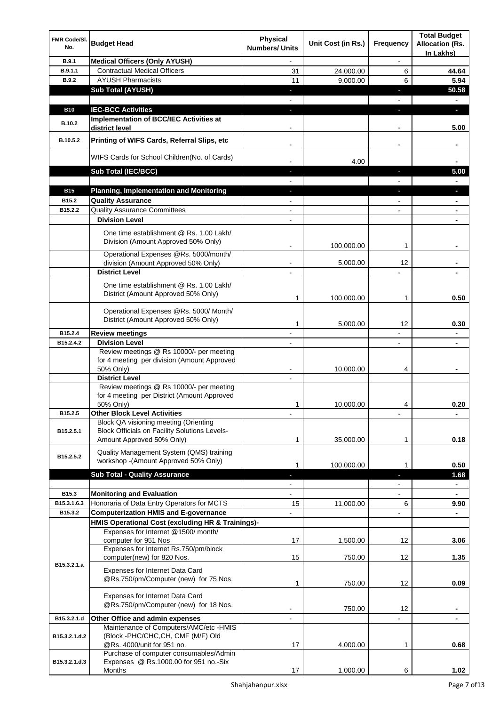| FMR Code/SI.<br>No. | <b>Budget Head</b>                                                                                                         | Physical<br><b>Numbers/ Units</b> | Unit Cost (in Rs.) | Frequency                | <b>Total Budget</b><br><b>Allocation (Rs.</b><br>In Lakhs) |
|---------------------|----------------------------------------------------------------------------------------------------------------------------|-----------------------------------|--------------------|--------------------------|------------------------------------------------------------|
| B.9.1               | <b>Medical Officers (Only AYUSH)</b>                                                                                       |                                   |                    |                          |                                                            |
| B.9.1.1             | <b>Contractual Medical Officers</b>                                                                                        | 31                                | 24,000.00          | 6                        | 44.64                                                      |
| <b>B.9.2</b>        | <b>AYUSH Pharmacists</b>                                                                                                   | 11                                | 9,000.00           | 6                        | 5.94                                                       |
|                     | <b>Sub Total (AYUSH)</b>                                                                                                   |                                   |                    |                          | 50.58                                                      |
|                     |                                                                                                                            |                                   |                    |                          |                                                            |
| <b>B10</b>          | <b>IEC-BCC Activities</b>                                                                                                  |                                   |                    | $\overline{\phantom{a}}$ | L                                                          |
| B.10.2              | Implementation of BCC/IEC Activities at<br>district level                                                                  |                                   |                    | $\overline{\phantom{a}}$ | 5.00                                                       |
| B.10.5.2            | Printing of WIFS Cards, Referral Slips, etc                                                                                |                                   |                    |                          |                                                            |
|                     | WIFS Cards for School Children(No. of Cards)                                                                               |                                   | 4.00               |                          |                                                            |
|                     | <b>Sub Total (IEC/BCC)</b>                                                                                                 |                                   |                    |                          | 5.00                                                       |
| <b>B15</b>          | <b>Planning, Implementation and Monitoring</b>                                                                             |                                   |                    |                          |                                                            |
| B15.2               | <b>Quality Assurance</b>                                                                                                   |                                   |                    |                          |                                                            |
| B15.2.2             | <b>Quality Assurance Committees</b>                                                                                        |                                   |                    |                          | $\blacksquare$                                             |
|                     | <b>Division Level</b>                                                                                                      |                                   |                    |                          |                                                            |
|                     | One time establishment @ Rs. 1.00 Lakh/<br>Division (Amount Approved 50% Only)                                             |                                   | 100,000.00         | 1                        |                                                            |
|                     | Operational Expenses @Rs. 5000/month/                                                                                      |                                   |                    |                          |                                                            |
|                     | division (Amount Approved 50% Only)                                                                                        |                                   | 5,000.00           | 12                       |                                                            |
|                     | <b>District Level</b>                                                                                                      |                                   |                    |                          |                                                            |
|                     | One time establishment @ Rs. 1.00 Lakh/<br>District (Amount Approved 50% Only)                                             | 1                                 | 100,000.00         | 1                        | 0.50                                                       |
|                     | Operational Expenses @Rs. 5000/ Month/<br>District (Amount Approved 50% Only)                                              | 1                                 | 5,000.00           | 12                       | 0.30                                                       |
| B15.2.4             | <b>Review meetings</b>                                                                                                     | $\blacksquare$                    |                    | ÷                        | $\blacksquare$                                             |
| B15.2.4.2           | <b>Division Level</b>                                                                                                      |                                   |                    |                          |                                                            |
|                     | Review meetings @ Rs 10000/- per meeting<br>for 4 meeting per division (Amount Approved<br>50% Only)                       |                                   | 10,000.00          | 4                        | ٠                                                          |
|                     | <b>District Level</b>                                                                                                      |                                   |                    |                          |                                                            |
|                     | Review meetings @ Rs 10000/- per meeting<br>for 4 meeting per District (Amount Approved<br>50% Only)                       | 1                                 | 10,000.00          | 4                        | 0.20                                                       |
| B15.2.5             | <b>Other Block Level Activities</b>                                                                                        |                                   |                    |                          |                                                            |
| B15.2.5.1           | Block QA visioning meeting (Orienting<br><b>Block Officials on Facility Solutions Levels-</b><br>Amount Approved 50% Only) | 1                                 | 35,000.00          | 1                        | 0.18                                                       |
| B15.2.5.2           | Quality Management System (QMS) training<br>workshop - (Amount Approved 50% Only)                                          |                                   |                    |                          |                                                            |
|                     |                                                                                                                            | 1                                 | 100,000.00         | 1                        | 0.50                                                       |
|                     | <b>Sub Total - Quality Assurance</b>                                                                                       | ÷.                                |                    | ٠                        | 1.68                                                       |
|                     |                                                                                                                            | $\blacksquare$                    |                    | $\blacksquare$           | $\blacksquare$                                             |
| B15.3               | <b>Monitoring and Evaluation</b>                                                                                           |                                   |                    | ۰                        |                                                            |
| B15.3.1.6.3         | Honoraria of Data Entry Operators for MCTS                                                                                 | 15                                | 11,000.00          | 6                        | 9.90                                                       |
| B15.3.2             | <b>Computerization HMIS and E-governance</b>                                                                               |                                   |                    |                          |                                                            |
|                     | HMIS Operational Cost (excluding HR & Trainings)-<br>Expenses for Internet @1500/month/<br>computer for 951 Nos            | 17                                | 1,500.00           | 12                       | 3.06                                                       |
|                     | Expenses for Internet Rs.750/pm/block<br>computer(new) for 820 Nos.                                                        | 15                                | 750.00             | 12                       | 1.35                                                       |
| B15.3.2.1.a         | Expenses for Internet Data Card<br>@Rs.750/pm/Computer (new) for 75 Nos.                                                   | 1                                 | 750.00             | 12                       | 0.09                                                       |
|                     | Expenses for Internet Data Card<br>@Rs.750/pm/Computer (new) for 18 Nos.                                                   |                                   | 750.00             | 12                       |                                                            |
| B15.3.2.1.d         | Other Office and admin expenses                                                                                            |                                   |                    |                          |                                                            |
| B15.3.2.1.d.2       | Maintenance of Computers/AMC/etc -HMIS<br>(Block -PHC/CHC,CH, CMF (M/F) Old<br>@Rs. 4000/unit for 951 no.                  | 17                                | 4,000.00           | 1                        | 0.68                                                       |
| B15.3.2.1.d.3       | Purchase of computer consumables/Admin<br>Expenses @ Rs.1000.00 for 951 no.-Six<br>Months                                  | 17                                | 1,000.00           | 6                        | 1.02                                                       |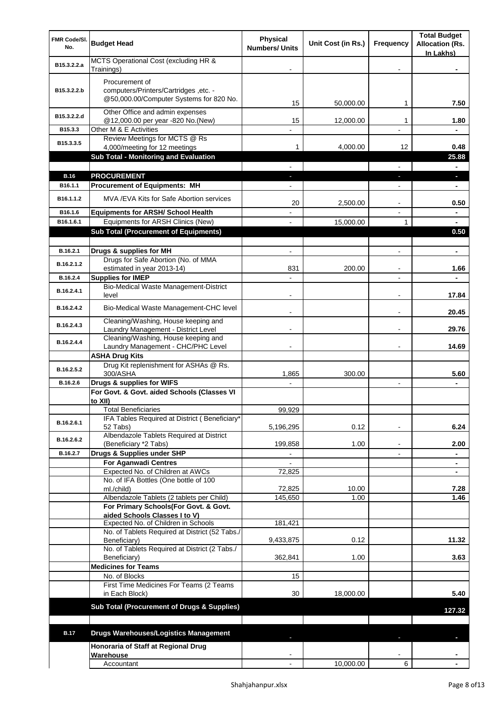| FMR Code/SI.<br>No. | <b>Budget Head</b>                                                                    | <b>Physical</b><br><b>Numbers/ Units</b> | Unit Cost (in Rs.) | Frequency                | <b>Total Budget</b><br><b>Allocation (Rs.</b><br>In Lakhs) |
|---------------------|---------------------------------------------------------------------------------------|------------------------------------------|--------------------|--------------------------|------------------------------------------------------------|
| B15.3.2.2.a         | MCTS Operational Cost (excluding HR &<br>Trainings)                                   |                                          |                    |                          |                                                            |
|                     | Procurement of                                                                        |                                          |                    |                          |                                                            |
| B15.3.2.2.b         | computers/Printers/Cartridges, etc. -<br>@50,000.00/Computer Systems for 820 No.      | 15                                       | 50,000.00          | 1                        | 7.50                                                       |
| B15.3.2.2.d         | Other Office and admin expenses<br>@12,000.00 per year -820 No.(New)                  | 15                                       | 12,000.00          | 1                        | 1.80                                                       |
| B15.3.3             | Other M & E Activities                                                                |                                          |                    |                          |                                                            |
| B15.3.3.5           | Review Meetings for MCTS @ Rs<br>4,000/meeting for 12 meetings                        | 1                                        | 4,000.00           | 12                       | 0.48                                                       |
|                     | Sub Total - Monitoring and Evaluation                                                 |                                          |                    |                          | 25.88                                                      |
| <b>B.16</b>         | <b>PROCUREMENT</b>                                                                    |                                          |                    |                          | a.                                                         |
| B16.1.1             | <b>Procurement of Equipments: MH</b>                                                  |                                          |                    |                          |                                                            |
| B16.1.1.2           | MVA / EVA Kits for Safe Abortion services                                             | 20                                       | 2,500.00           | $\blacksquare$           | 0.50                                                       |
| B16.1.6             | <b>Equipments for ARSH/ School Health</b>                                             |                                          |                    |                          | -                                                          |
| B16.1.6.1           | Equipments for ARSH Clinics (New)<br><b>Sub Total (Procurement of Equipments)</b>     |                                          | 15,000.00          | 1                        | 0.50                                                       |
|                     |                                                                                       |                                          |                    |                          |                                                            |
| B.16.2.1            | Drugs & supplies for MH                                                               |                                          |                    | ۰                        |                                                            |
| B.16.2.1.2          | Drugs for Safe Abortion (No. of MMA<br>estimated in year 2013-14)                     | 831                                      | 200.00             |                          | 1.66                                                       |
| B.16.2.4            | <b>Supplies for IMEP</b>                                                              |                                          |                    | $\blacksquare$           |                                                            |
| B.16.2.4.1          | Bio-Medical Waste Management-District<br>level                                        |                                          |                    |                          | 17.84                                                      |
| B.16.2.4.2          | Bio-Medical Waste Management-CHC level                                                |                                          |                    |                          | 20.45                                                      |
| B.16.2.4.3          | Cleaning/Washing, House keeping and<br>Laundry Management - District Level            |                                          |                    | $\blacksquare$           | 29.76                                                      |
| B.16.2.4.4          | Cleaning/Washing, House keeping and                                                   |                                          |                    |                          |                                                            |
|                     | Laundry Management - CHC/PHC Level                                                    |                                          |                    |                          | 14.69                                                      |
|                     | <b>ASHA Drug Kits</b><br>Drug Kit replenishment for ASHAs @ Rs.                       |                                          |                    |                          |                                                            |
| B.16.2.5.2          | 300/ASHA                                                                              | 1,865                                    | 300.00             |                          | 5.60                                                       |
| B.16.2.6            | Drugs & supplies for WIFS<br>For Govt. & Govt. aided Schools (Classes VI              |                                          |                    | $\blacksquare$           |                                                            |
|                     | to XII)                                                                               |                                          |                    |                          |                                                            |
|                     | Total Beneficiaries                                                                   | 99,929                                   |                    |                          |                                                            |
| B.16.2.6.1          | IFA Tables Required at District (Beneficiary*<br>52 Tabs)                             | 5,196,295                                | 0.12               | $\overline{\phantom{a}}$ | 6.24                                                       |
| B.16.2.6.2          | Albendazole Tablets Required at District<br>(Beneficiary *2 Tabs)                     | 199,858                                  | 1.00               | $\blacksquare$           | 2.00                                                       |
| B.16.2.7            | Drugs & Supplies under SHP                                                            |                                          |                    | $\overline{a}$           |                                                            |
|                     | <b>For Aganwadi Centres</b>                                                           |                                          |                    |                          | ۰                                                          |
|                     | Expected No. of Children at AWCs<br>No. of IFA Bottles (One bottle of 100             | 72,825                                   |                    |                          |                                                            |
|                     | ml./child)                                                                            | 72,825                                   | 10.00              |                          | 7.28                                                       |
|                     | Albendazole Tablets (2 tablets per Child)<br>For Primary Schools(For Govt. & Govt.    | 145,650                                  | 1.00               |                          | 1.46                                                       |
|                     | aided Schools Classes I to V)                                                         |                                          |                    |                          |                                                            |
|                     | Expected No. of Children in Schools<br>No. of Tablets Required at District (52 Tabs./ | 181,421                                  |                    |                          |                                                            |
|                     | Beneficiary)                                                                          | 9,433,875                                | 0.12               |                          | 11.32                                                      |
|                     | No. of Tablets Required at District (2 Tabs./                                         |                                          |                    |                          |                                                            |
|                     | Beneficiary)<br><b>Medicines for Teams</b>                                            | 362,841                                  | 1.00               |                          | 3.63                                                       |
|                     | No. of Blocks                                                                         | 15                                       |                    |                          |                                                            |
|                     | First Time Medicines For Teams (2 Teams<br>in Each Block)                             | 30                                       | 18,000.00          |                          | 5.40                                                       |
|                     | Sub Total (Procurement of Drugs & Supplies)                                           |                                          |                    |                          | 127.32                                                     |
|                     |                                                                                       |                                          |                    |                          |                                                            |
| <b>B.17</b>         | <b>Drugs Warehouses/Logistics Management</b>                                          |                                          |                    |                          |                                                            |
|                     | Honoraria of Staff at Regional Drug                                                   |                                          |                    |                          |                                                            |
|                     | Warehouse<br>Accountant                                                               |                                          | 10,000.00          | 6                        |                                                            |
|                     |                                                                                       |                                          |                    |                          |                                                            |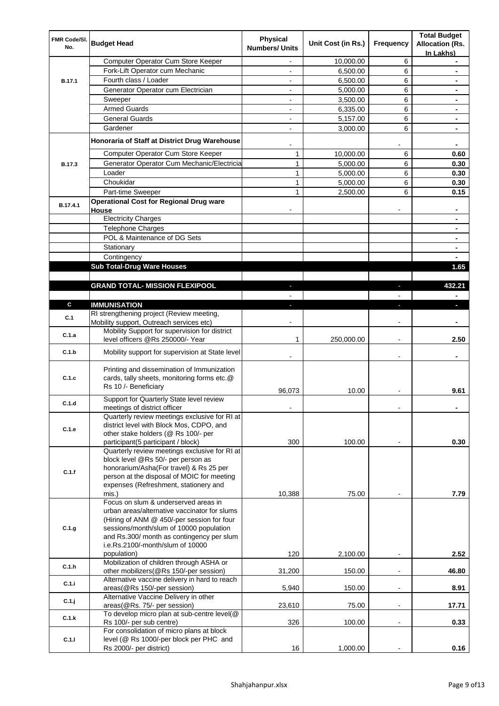| FMR Code/SI.  | <b>Budget Head</b>                                                                    | <b>Physical</b>       | Unit Cost (in Rs.) | Frequency      | <b>Total Budget</b><br><b>Allocation (Rs.</b> |
|---------------|---------------------------------------------------------------------------------------|-----------------------|--------------------|----------------|-----------------------------------------------|
| No.           |                                                                                       | <b>Numbers/ Units</b> |                    |                | In Lakhs)                                     |
|               | Computer Operator Cum Store Keeper                                                    | ÷,                    | 10,000.00          | 6              | ٠                                             |
|               | Fork-Lift Operator cum Mechanic                                                       |                       | 6,500.00           | 6              |                                               |
| B.17.1        | Fourth class / Loader                                                                 |                       | 6,500.00           | 6              |                                               |
|               | Generator Operator cum Electrician                                                    | $\blacksquare$        | 5,000.00           | 6              |                                               |
|               | Sweeper                                                                               | $\blacksquare$        | 3,500.00           | 6              | ٠                                             |
|               | <b>Armed Guards</b>                                                                   |                       | 6,335.00           | 6              | ٠                                             |
|               | <b>General Guards</b>                                                                 |                       | 5,157.00           | 6              |                                               |
|               | Gardener                                                                              |                       | 3,000.00           | 6              |                                               |
|               | Honoraria of Staff at District Drug Warehouse                                         |                       |                    |                |                                               |
|               | Computer Operator Cum Store Keeper                                                    | 1                     | 10,000.00          | 6              | 0.60                                          |
| <b>B.17.3</b> | Generator Operator Cum Mechanic/Electricia                                            | 1                     | 5,000.00           | 6              | 0.30                                          |
|               | Loader                                                                                | 1                     | 5,000.00           | 6              | 0.30                                          |
|               | Choukidar                                                                             | 1                     | 5,000.00           | 6              | 0.30                                          |
|               | Part-time Sweeper                                                                     | 1                     | 2,500.00           | 6              | 0.15                                          |
| B.17.4.1      | <b>Operational Cost for Regional Drug ware</b><br>House                               |                       |                    |                |                                               |
|               | <b>Electricity Charges</b>                                                            |                       |                    |                |                                               |
|               | Telephone Charges                                                                     |                       |                    |                | -                                             |
|               | POL & Maintenance of DG Sets                                                          |                       |                    |                | ۰                                             |
|               | Stationary                                                                            |                       |                    |                | ۰                                             |
|               | Contingency                                                                           |                       |                    |                |                                               |
|               | <b>Sub Total-Drug Ware Houses</b>                                                     |                       |                    |                | 1.65                                          |
|               |                                                                                       |                       |                    |                |                                               |
|               | <b>GRAND TOTAL- MISSION FLEXIPOOL</b>                                                 |                       |                    |                | 432.21                                        |
|               |                                                                                       |                       |                    |                |                                               |
| C             | <b>IMMUNISATION</b>                                                                   |                       |                    |                |                                               |
| C.1           | RI strengthening project (Review meeting,<br>Mobility support, Outreach services etc) |                       |                    |                |                                               |
| C.1.a         | Mobility Support for supervision for district<br>level officers @Rs 250000/- Year     | 1                     | 250,000.00         | ÷              | 2.50                                          |
| C.1.b         | Mobility support for supervision at State level                                       |                       |                    | $\blacksquare$ |                                               |
|               | Printing and dissemination of Immunization                                            |                       |                    |                |                                               |
| C.1.c         | cards, tally sheets, monitoring forms etc.@                                           |                       |                    |                |                                               |
|               | Rs 10 /- Beneficiary                                                                  |                       |                    |                |                                               |
|               | Support for Quarterly State level review                                              | 96,073                | 10.00              |                | 9.61                                          |
| C.1.d         | meetings of district officer                                                          |                       |                    |                |                                               |
|               | Quarterly review meetings exclusive for RI at                                         |                       |                    |                |                                               |
| C.1.e         | district level with Block Mos, CDPO, and                                              |                       |                    |                |                                               |
|               | other stake holders (@ Rs 100/- per                                                   |                       |                    |                |                                               |
|               | participant(5 participant / block)                                                    | 300                   | 100.00             |                | 0.30                                          |
|               | Quarterly review meetings exclusive for RI at                                         |                       |                    |                |                                               |
|               | block level @Rs 50/- per person as<br>honorarium/Asha(For travel) & Rs 25 per         |                       |                    |                |                                               |
| C.1.f         | person at the disposal of MOIC for meeting                                            |                       |                    |                |                                               |
|               | expenses (Refreshment, stationery and                                                 |                       |                    |                |                                               |
|               | mis.)                                                                                 | 10,388                | 75.00              |                | 7.79                                          |
|               | Focus on slum & underserved areas in                                                  |                       |                    |                |                                               |
|               | urban areas/alternative vaccinator for slums                                          |                       |                    |                |                                               |
|               | (Hiring of ANM @ 450/-per session for four                                            |                       |                    |                |                                               |
| C.1.g         | sessions/month/slum of 10000 population<br>and Rs.300/ month as contingency per slum  |                       |                    |                |                                               |
|               | i.e.Rs.2100/-month/slum of 10000                                                      |                       |                    |                |                                               |
|               | population)                                                                           | 120                   | 2,100.00           |                | 2.52                                          |
| C.1.h         | Mobilization of children through ASHA or                                              |                       |                    |                |                                               |
|               | other mobilizers(@Rs 150/-per session)                                                | 31,200                | 150.00             | ÷              | 46.80                                         |
| C.1.i         | Alternative vaccine delivery in hard to reach                                         |                       |                    |                |                                               |
|               | areas(@Rs 150/-per session)                                                           | 5,940                 | 150.00             | ÷              | 8.91                                          |
| C.1.j         | Alternative Vaccine Delivery in other<br>areas(@Rs. 75/- per session)                 | 23,610                | 75.00              | $\blacksquare$ | 17.71                                         |
|               | To develop micro plan at sub-centre level(@                                           |                       |                    |                |                                               |
| C.1.k         | Rs 100/- per sub centre)                                                              | 326                   | 100.00             | $\blacksquare$ | 0.33                                          |
|               | For consolidation of micro plans at block                                             |                       |                    |                |                                               |
| C.1.1         | level (@ Rs 1000/-per block per PHC and                                               |                       |                    |                |                                               |
|               | Rs 2000/- per district)                                                               | 16                    | 1,000.00           |                | 0.16                                          |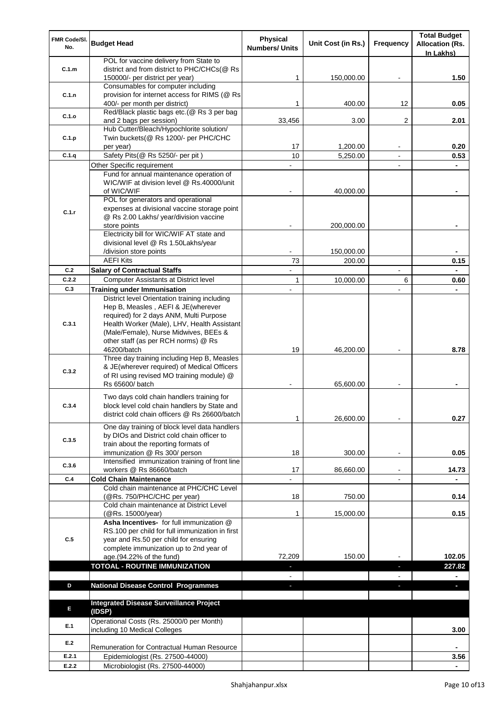| FMR Code/SI.<br>No. | <b>Budget Head</b>                                                                   | Physical<br><b>Numbers/ Units</b> | Unit Cost (in Rs.) | Frequency                | <b>Total Budget</b><br><b>Allocation (Rs.</b><br>In Lakhs) |
|---------------------|--------------------------------------------------------------------------------------|-----------------------------------|--------------------|--------------------------|------------------------------------------------------------|
|                     | POL for vaccine delivery from State to                                               |                                   |                    |                          |                                                            |
| C.1.m               | district and from district to PHC/CHCs(@ Rs                                          |                                   |                    |                          |                                                            |
|                     | 150000/- per district per year)                                                      | 1                                 | 150,000.00         |                          | 1.50                                                       |
|                     | Consumables for computer including                                                   |                                   |                    |                          |                                                            |
| C.1.n               | provision for internet access for RIMS (@ Rs                                         |                                   | 400.00             |                          |                                                            |
|                     | 400/- per month per district)<br>Red/Black plastic bags etc.(@ Rs 3 per bag          | 1                                 |                    | 12                       | 0.05                                                       |
| C.1.o               | and 2 bags per session)                                                              | 33,456                            | 3.00               | 2                        | 2.01                                                       |
|                     | Hub Cutter/Bleach/Hypochlorite solution/                                             |                                   |                    |                          |                                                            |
| C.1.p               | Twin buckets(@ Rs 1200/- per PHC/CHC                                                 |                                   |                    |                          |                                                            |
|                     | per year)                                                                            | 17                                | 1,200.00           |                          | 0.20                                                       |
| C.1.q               | Safety Pits(@ Rs 5250/- per pit)                                                     | 10                                | 5,250.00           |                          | 0.53                                                       |
|                     | Other Specific requirement                                                           |                                   |                    |                          |                                                            |
|                     | Fund for annual maintenance operation of                                             |                                   |                    |                          |                                                            |
|                     | WIC/WIF at division level @ Rs.40000/unit                                            |                                   |                    |                          |                                                            |
|                     | of WIC/WIF                                                                           |                                   | 40,000.00          |                          |                                                            |
|                     | POL for generators and operational                                                   |                                   |                    |                          |                                                            |
| C.1.r               | expenses at divisional vaccine storage point                                         |                                   |                    |                          |                                                            |
|                     | @ Rs 2.00 Lakhs/ year/division vaccine                                               |                                   |                    |                          |                                                            |
|                     | store points                                                                         |                                   | 200,000.00         |                          |                                                            |
|                     | Electricity bill for WIC/WIF AT state and                                            |                                   |                    |                          |                                                            |
|                     | divisional level @ Rs 1.50Lakhs/year                                                 |                                   |                    |                          |                                                            |
|                     | /division store points                                                               |                                   | 150,000.00         |                          |                                                            |
|                     | <b>AEFI Kits</b>                                                                     | 73                                | 200.00             |                          | 0.15                                                       |
| C.2                 | <b>Salary of Contractual Staffs</b>                                                  |                                   |                    |                          |                                                            |
| C.2.2               | <b>Computer Assistants at District level</b>                                         | 1                                 | 10,000.00          | 6                        | 0.60                                                       |
| C.3                 | <b>Training under Immunisation</b>                                                   |                                   |                    |                          |                                                            |
|                     | District level Orientation training including                                        |                                   |                    |                          |                                                            |
|                     | Hep B, Measles, AEFI & JE(wherever                                                   |                                   |                    |                          |                                                            |
| C.3.1               | required) for 2 days ANM, Multi Purpose                                              |                                   |                    |                          |                                                            |
|                     | Health Worker (Male), LHV, Health Assistant<br>(Male/Female), Nurse Midwives, BEEs & |                                   |                    |                          |                                                            |
|                     | other staff (as per RCH norms) @ Rs                                                  |                                   |                    |                          |                                                            |
|                     | 46200/batch                                                                          | 19                                | 46,200.00          |                          | 8.78                                                       |
|                     | Three day training including Hep B, Measles                                          |                                   |                    |                          |                                                            |
|                     | & JE(wherever required) of Medical Officers                                          |                                   |                    |                          |                                                            |
| C.3.2               | of RI using revised MO training module) @                                            |                                   |                    |                          |                                                            |
|                     | Rs 65600/ batch                                                                      |                                   | 65,600.00          |                          |                                                            |
|                     | Two days cold chain handlers training for                                            |                                   |                    |                          |                                                            |
| C.3.4               | block level cold chain handlers by State and                                         |                                   |                    |                          |                                                            |
|                     | district cold chain officers @ Rs 26600/batch                                        |                                   |                    |                          |                                                            |
|                     |                                                                                      | 1                                 | 26,600.00          |                          | 0.27                                                       |
|                     | One day training of block level data handlers                                        |                                   |                    |                          |                                                            |
| C.3.5               | by DIOs and District cold chain officer to                                           |                                   |                    |                          |                                                            |
|                     | train about the reporting formats of                                                 | 18                                |                    |                          |                                                            |
|                     | immunization @ Rs 300/ person<br>Intensified immunization training of front line     |                                   | 300.00             |                          | 0.05                                                       |
| C.3.6               | workers @ Rs 86660/batch                                                             | 17                                | 86,660.00          | $\blacksquare$           | 14.73                                                      |
| C.4                 | <b>Cold Chain Maintenance</b>                                                        |                                   |                    | $\overline{\phantom{a}}$ | $\blacksquare$                                             |
|                     | Cold chain maintenance at PHC/CHC Level                                              |                                   |                    |                          |                                                            |
|                     | (@Rs. 750/PHC/CHC per year)                                                          | 18                                | 750.00             |                          | 0.14                                                       |
|                     | Cold chain maintenance at District Level                                             |                                   |                    |                          |                                                            |
|                     | (@Rs. 15000/year)                                                                    | 1                                 | 15,000.00          |                          | 0.15                                                       |
|                     | Asha Incentives- for full immunization @                                             |                                   |                    |                          |                                                            |
|                     | RS.100 per child for full immunization in first                                      |                                   |                    |                          |                                                            |
| C.5                 | year and Rs.50 per child for ensuring                                                |                                   |                    |                          |                                                            |
|                     | complete immunization up to 2nd year of                                              |                                   |                    |                          |                                                            |
|                     | age.(94.22% of the fund)                                                             | 72,209                            | 150.00             |                          | 102.05                                                     |
|                     | <b>TOTOAL - ROUTINE IMMUNIZATION</b>                                                 |                                   |                    |                          | 227.82                                                     |
|                     |                                                                                      |                                   |                    |                          |                                                            |
| D                   | <b>National Disease Control Programmes</b>                                           | a.                                |                    |                          | ٠                                                          |
|                     |                                                                                      |                                   |                    |                          |                                                            |
| E                   | <b>Integrated Disease Surveillance Project</b>                                       |                                   |                    |                          |                                                            |
|                     | (IDSP)                                                                               |                                   |                    |                          |                                                            |
| E.1                 | Operational Costs (Rs. 25000/0 per Month)                                            |                                   |                    |                          |                                                            |
|                     | including 10 Medical Colleges                                                        |                                   |                    |                          | 3.00                                                       |
| E.2                 | Remuneration for Contractual Human Resource                                          |                                   |                    |                          |                                                            |
| E.2.1               | Epidemiologist (Rs. 27500-44000)                                                     |                                   |                    |                          | 3.56                                                       |
| E.2.2               | Microbiologist (Rs. 27500-44000)                                                     |                                   |                    |                          | $\blacksquare$                                             |
|                     |                                                                                      |                                   |                    |                          |                                                            |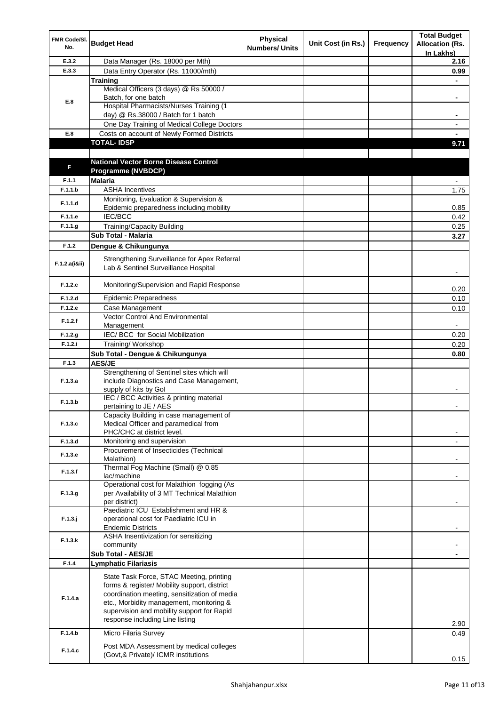| FMR Code/SI.<br>No. | <b>Budget Head</b>                                                                   | <b>Physical</b><br><b>Numbers/ Units</b> | Unit Cost (in Rs.) | Frequency | <b>Total Budget</b><br><b>Allocation (Rs.</b><br>In Lakhs) |
|---------------------|--------------------------------------------------------------------------------------|------------------------------------------|--------------------|-----------|------------------------------------------------------------|
| E.3.2               | Data Manager (Rs. 18000 per Mth)                                                     |                                          |                    |           | 2.16                                                       |
| E.3.3               | Data Entry Operator (Rs. 11000/mth)                                                  |                                          |                    |           | 0.99                                                       |
|                     | <b>Training</b>                                                                      |                                          |                    |           |                                                            |
|                     | Medical Officers (3 days) @ Rs 50000 /                                               |                                          |                    |           |                                                            |
| E.8                 | Batch, for one batch                                                                 |                                          |                    |           | ٠                                                          |
|                     | <b>Hospital Pharmacists/Nurses Training (1)</b>                                      |                                          |                    |           |                                                            |
|                     | day) @ Rs.38000 / Batch for 1 batch                                                  |                                          |                    |           |                                                            |
|                     | One Day Training of Medical College Doctors                                          |                                          |                    |           |                                                            |
| E.8                 | Costs on account of Newly Formed Districts                                           |                                          |                    |           |                                                            |
|                     | <b>TOTAL-IDSP</b>                                                                    |                                          |                    |           | 9.71                                                       |
|                     |                                                                                      |                                          |                    |           |                                                            |
| F                   | <b>National Vector Borne Disease Control</b>                                         |                                          |                    |           |                                                            |
|                     | <b>Programme (NVBDCP)</b>                                                            |                                          |                    |           |                                                            |
| F.1.1               | <b>Malaria</b>                                                                       |                                          |                    |           |                                                            |
| F.1.1.b             | <b>ASHA Incentives</b>                                                               |                                          |                    |           | 1.75                                                       |
| F.1.1.d             | Monitoring, Evaluation & Supervision &<br>Epidemic preparedness including mobility   |                                          |                    |           | 0.85                                                       |
| F.1.1.e             | IEC/BCC                                                                              |                                          |                    |           | 0.42                                                       |
| F.1.1.g             | <b>Training/Capacity Building</b>                                                    |                                          |                    |           |                                                            |
|                     | Sub Total - Malaria                                                                  |                                          |                    |           | 0.25<br>3.27                                               |
|                     |                                                                                      |                                          |                    |           |                                                            |
| F.1.2               | Dengue & Chikungunya                                                                 |                                          |                    |           |                                                            |
| F.1.2.a(iⅈ)         | Strengthening Surveillance for Apex Referral<br>Lab & Sentinel Surveillance Hospital |                                          |                    |           |                                                            |
| F.1.2.c             | Monitoring/Supervision and Rapid Response                                            |                                          |                    |           | 0.20                                                       |
| F.1.2.d             | <b>Epidemic Preparedness</b>                                                         |                                          |                    |           | 0.10                                                       |
| F.1.2.e             | Case Management                                                                      |                                          |                    |           | 0.10                                                       |
| F.1.2.f             | Vector Control And Environmental                                                     |                                          |                    |           |                                                            |
|                     | Management                                                                           |                                          |                    |           |                                                            |
| F.1.2.g             | IEC/ BCC for Social Mobilization                                                     |                                          |                    |           | 0.20                                                       |
| F.1.2.i             | Training/Workshop                                                                    |                                          |                    |           | 0.20                                                       |
|                     | Sub Total - Dengue & Chikungunya                                                     |                                          |                    |           | 0.80                                                       |
| F.1.3               | <b>AES/JE</b>                                                                        |                                          |                    |           |                                                            |
|                     | Strengthening of Sentinel sites which will                                           |                                          |                    |           |                                                            |
| F.1.3.a             | include Diagnostics and Case Management,                                             |                                          |                    |           |                                                            |
|                     | supply of kits by Gol<br>IEC / BCC Activities & printing material                    |                                          |                    |           |                                                            |
| F.1.3.b             | pertaining to JE / AES                                                               |                                          |                    |           |                                                            |
|                     | Capacity Building in case management of                                              |                                          |                    |           |                                                            |
| F.1.3.c             | Medical Officer and paramedical from                                                 |                                          |                    |           |                                                            |
|                     | PHC/CHC at district level.                                                           |                                          |                    |           |                                                            |
| F.1.3.d             | Monitoring and supervision                                                           |                                          |                    |           |                                                            |
| F.1.3.e             | Procurement of Insecticides (Technical                                               |                                          |                    |           |                                                            |
|                     | Malathion)                                                                           |                                          |                    |           |                                                            |
| F.1.3.f             | Thermal Fog Machine (Small) @ 0.85                                                   |                                          |                    |           |                                                            |
|                     | lac/machine                                                                          |                                          |                    |           |                                                            |
|                     | Operational cost for Malathion fogging (As                                           |                                          |                    |           |                                                            |
| F.1.3.g             | per Availability of 3 MT Technical Malathion<br>per district)                        |                                          |                    |           |                                                            |
|                     | Paediatric ICU Establishment and HR &                                                |                                          |                    |           |                                                            |
| $F.1.3.$ j          | operational cost for Paediatric ICU in                                               |                                          |                    |           |                                                            |
|                     | <b>Endemic Districts</b>                                                             |                                          |                    |           |                                                            |
|                     | ASHA Insentivization for sensitizing                                                 |                                          |                    |           |                                                            |
| F.1.3.k             | community                                                                            |                                          |                    |           |                                                            |
|                     | Sub Total - AES/JE                                                                   |                                          |                    |           |                                                            |
| F.1.4               | <b>Lymphatic Filariasis</b>                                                          |                                          |                    |           |                                                            |
|                     | State Task Force, STAC Meeting, printing                                             |                                          |                    |           |                                                            |
|                     | forms & register/ Mobility support, district                                         |                                          |                    |           |                                                            |
|                     | coordination meeting, sensitization of media                                         |                                          |                    |           |                                                            |
| F.1.4.a             | etc., Morbidity management, monitoring &                                             |                                          |                    |           |                                                            |
|                     | supervision and mobility support for Rapid                                           |                                          |                    |           |                                                            |
|                     | response including Line listing                                                      |                                          |                    |           | 2.90                                                       |
| F.1.4.b             | Micro Filaria Survey                                                                 |                                          |                    |           | 0.49                                                       |
|                     |                                                                                      |                                          |                    |           |                                                            |
| F.1.4.c             | Post MDA Assessment by medical colleges                                              |                                          |                    |           |                                                            |
|                     | (Govt,& Private)/ ICMR institutions                                                  |                                          |                    |           | 0.15                                                       |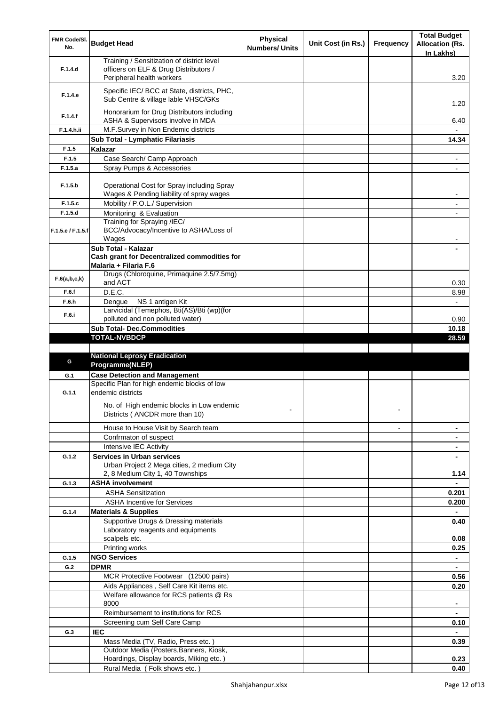| FMR Code/SI.<br>No. | <b>Budget Head</b>                                                                                              | <b>Physical</b><br><b>Numbers/ Units</b> | Unit Cost (in Rs.) | <b>Frequency</b> | <b>Total Budget</b><br><b>Allocation (Rs.</b><br>In Lakhs) |
|---------------------|-----------------------------------------------------------------------------------------------------------------|------------------------------------------|--------------------|------------------|------------------------------------------------------------|
| F.1.4.d             | Training / Sensitization of district level<br>officers on ELF & Drug Distributors /                             |                                          |                    |                  |                                                            |
| F.1.4.e             | Peripheral health workers<br>Specific IEC/ BCC at State, districts, PHC,<br>Sub Centre & village lable VHSC/GKs |                                          |                    |                  | 3.20                                                       |
| F.1.4.f             | Honorarium for Drug Distributors including<br>ASHA & Supervisors involve in MDA                                 |                                          |                    |                  | 1.20<br>6.40                                               |
| F.1.4.h.ii          | M.F.Survey in Non Endemic districts                                                                             |                                          |                    |                  |                                                            |
|                     | Sub Total - Lymphatic Filariasis                                                                                |                                          |                    |                  | 14.34                                                      |
| F.1.5               | Kalazar                                                                                                         |                                          |                    |                  |                                                            |
| F.1.5               | Case Search/ Camp Approach                                                                                      |                                          |                    |                  | $\blacksquare$                                             |
| F.1.5.a             | Spray Pumps & Accessories                                                                                       |                                          |                    |                  | -                                                          |
| F.1.5.b             | Operational Cost for Spray including Spray<br>Wages & Pending liability of spray wages                          |                                          |                    |                  |                                                            |
| F.1.5.c             | Mobility / P.O.L./ Supervision                                                                                  |                                          |                    |                  | $\overline{\phantom{0}}$                                   |
| F.1.5.d             | Monitoring & Evaluation                                                                                         |                                          |                    |                  |                                                            |
| F.1.5.e / F.1.5.f   | Training for Spraying /IEC/<br>BCC/Advocacy/Incentive to ASHA/Loss of<br>Wages                                  |                                          |                    |                  |                                                            |
|                     | Sub Total - Kalazar                                                                                             |                                          |                    |                  |                                                            |
|                     | Cash grant for Decentralized commodities for                                                                    |                                          |                    |                  |                                                            |
| F.6(a,b,c,k)        | Malaria + Filaria F.6<br>Drugs (Chloroquine, Primaquine 2.5/7.5mg)<br>and ACT                                   |                                          |                    |                  |                                                            |
| F.6.f               | D.E.C.                                                                                                          |                                          |                    |                  | 0.30<br>8.98                                               |
| F.6.h               | NS 1 antigen Kit<br>Dengue                                                                                      |                                          |                    |                  |                                                            |
|                     | Larvicidal (Temephos, Bti(AS)/Bti (wp)(for                                                                      |                                          |                    |                  |                                                            |
| F.6.i               | polluted and non polluted water)                                                                                |                                          |                    |                  | 0.90                                                       |
|                     | <b>Sub Total- Dec.Commodities</b>                                                                               |                                          |                    |                  | 10.18                                                      |
|                     | <b>TOTAL-NVBDCP</b>                                                                                             |                                          |                    |                  | 28.59                                                      |
|                     |                                                                                                                 |                                          |                    |                  |                                                            |
| G                   | <b>National Leprosy Eradication</b>                                                                             |                                          |                    |                  |                                                            |
|                     | Programme(NLEP)                                                                                                 |                                          |                    |                  |                                                            |
| G.1                 | <b>Case Detection and Management</b><br>Specific Plan for high endemic blocks of low                            |                                          |                    |                  |                                                            |
| G.1.1               | endemic districts                                                                                               |                                          |                    |                  |                                                            |
|                     | No. of High endemic blocks in Low endemic<br>Districts (ANCDR more than 10)                                     |                                          |                    |                  |                                                            |
|                     | House to House Visit by Search team                                                                             |                                          |                    |                  |                                                            |
|                     | Confrmaton of suspect                                                                                           |                                          |                    |                  |                                                            |
|                     | Intensive IEC Activity                                                                                          |                                          |                    |                  |                                                            |
| G.1.2               | <b>Services in Urban services</b>                                                                               |                                          |                    |                  |                                                            |
|                     | Urban Project 2 Mega cities, 2 medium City<br>2, 8 Medium City 1, 40 Townships                                  |                                          |                    |                  | 1.14                                                       |
| G.1.3               | <b>ASHA involvement</b>                                                                                         |                                          |                    |                  |                                                            |
|                     | <b>ASHA Sensitization</b>                                                                                       |                                          |                    |                  | 0.201                                                      |
|                     | <b>ASHA Incentive for Services</b>                                                                              |                                          |                    |                  | 0.200                                                      |
| G.1.4               | <b>Materials &amp; Supplies</b>                                                                                 |                                          |                    |                  |                                                            |
|                     | Supportive Drugs & Dressing materials<br>Laboratory reagents and equipments                                     |                                          |                    |                  | 0.40                                                       |
|                     | scalpels etc.                                                                                                   |                                          |                    |                  | 0.08                                                       |
|                     | Printing works                                                                                                  |                                          |                    |                  | 0.25                                                       |
| G.1.5               | <b>NGO Services</b>                                                                                             |                                          |                    |                  | ۰.                                                         |
| G.2                 | <b>DPMR</b>                                                                                                     |                                          |                    |                  |                                                            |
|                     | MCR Protective Footwear (12500 pairs)                                                                           |                                          |                    |                  | 0.56                                                       |
|                     | Aids Appliances, Self Care Kit items etc.                                                                       |                                          |                    |                  | 0.20                                                       |
|                     | Welfare allowance for RCS patients @ Rs<br>8000                                                                 |                                          |                    |                  |                                                            |
|                     | Reimbursement to institutions for RCS                                                                           |                                          |                    |                  |                                                            |
|                     | Screening cum Self Care Camp                                                                                    |                                          |                    |                  | 0.10                                                       |
| G.3                 | <b>IEC</b>                                                                                                      |                                          |                    |                  |                                                            |
|                     | Mass Media (TV, Radio, Press etc.)                                                                              |                                          |                    |                  | 0.39                                                       |
|                     | Outdoor Media (Posters, Banners, Kiosk,                                                                         |                                          |                    |                  |                                                            |
|                     | Hoardings, Display boards, Miking etc.)<br>Rural Media (Folk shows etc.)                                        |                                          |                    |                  | 0.23<br>0.40                                               |
|                     |                                                                                                                 |                                          |                    |                  |                                                            |